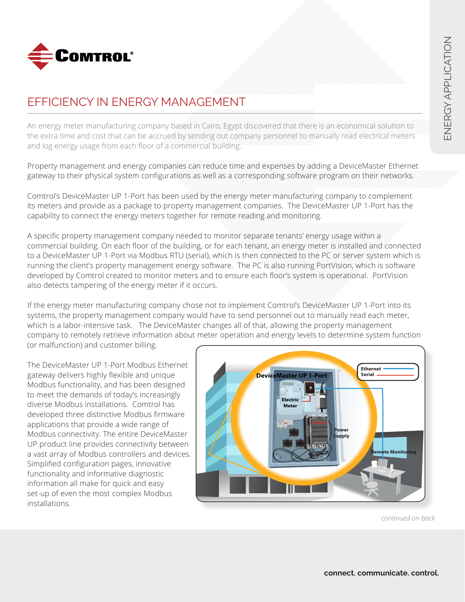

## EFFICIENCY IN ENERGY MANAGEMENT

An energy meter manufacturing company based in Cairo, Egypt discovered that there is an economical solution to the extra time and cost that can be accrued by sending out company personnel to manually read electrical meters and log energy usage from each floor of a commercial building.

Property management and energy companies can reduce time and expenses by adding a DeviceMaster Ethernet gateway to their physical system configurations as well as a corresponding software program on their networks.

Comtrol's DeviceMaster UP 1-Port has been used by the energy meter manufacturing company to complement its meters and provide as a package to property management companies. The DeviceMaster UP 1-Port has the capability to connect the energy meters together for remote reading and monitoring.

A specific property management company needed to monitor separate tenants' energy usage within a commercial building. On each floor of the building, or for each tenant, an energy meter is installed and connected to a DeviceMaster UP 1-Port via Modbus RTU (serial), which is then connected to the PC or server system which is running the client's property management energy software. The PC is also running PortVision, which is software developed by Comtrol created to monitor meters and to ensure each floor's system is operational. PortVision also detects tampering of the energy meter if it occurs.

If the energy meter manufacturing company chose not to implement Comtrol's DeviceMaster UP 1-Port into its systems, the property management company would have to send personnel out to manually read each meter, which is a labor-intensive task. The DeviceMaster changes all of that, allowing the property management company to remotely retrieve information about meter operation and energy levels to determine system function (or malfunction) and customer billing.

The DeviceMaster UP 1-Port Modbus Ethernet gateway delivers highly flexible and unique Modbus functionality, and has been designed to meet the demands of today's increasingly diverse Modbus installations. Comtrol has developed three distinctive Modbus firmware applications that provide a wide range of Modbus connectivity. The entire DeviceMaster UP product line provides connectivity between a vast array of Modbus controllers and devices. Simplified configuration pages, innovative functionality and informative diagnostic information all make for quick and easy set-up of even the most complex Modbus installations.



*continued on back*